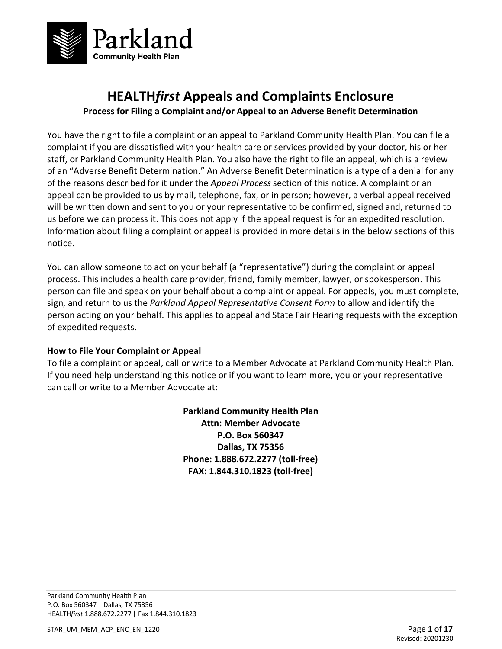

# **HEALTH***first* **Appeals and Complaints Enclosure**

**Process for Filing a Complaint and/or Appeal to an Adverse Benefit Determination** 

You have the right to file a complaint or an appeal to Parkland Community Health Plan. You can file a complaint if you are dissatisfied with your health care or services provided by your doctor, his or her staff, or Parkland Community Health Plan. You also have the right to file an appeal, which is a review of an "Adverse Benefit Determination." An Adverse Benefit Determination is a type of a denial for any of the reasons described for it under the *Appeal Process* section of this notice. A complaint or an appeal can be provided to us by mail, telephone, fax, or in person; however, a verbal appeal received will be written down and sent to you or your representative to be confirmed, signed and, returned to us before we can process it. This does not apply if the appeal request is for an expedited resolution. Information about filing a complaint or appeal is provided in more details in the below sections of this notice.

You can allow someone to act on your behalf (a "representative") during the complaint or appeal process. This includes a health care provider, friend, family member, lawyer, or spokesperson. This person can file and speak on your behalf about a complaint or appeal. For appeals, you must complete, sign, and return to us the *Parkland Appeal Representative Consent Form* to allow and identify the person acting on your behalf. This applies to appeal and State Fair Hearing requests with the exception of expedited requests.

## **How to File Your Complaint or Appeal**

To file a complaint or appeal, call or write to a Member Advocate at Parkland Community Health Plan. If you need help understanding this notice or if you want to learn more, you or your representative can call or write to a Member Advocate at:

> **Parkland Community Health Plan Attn: Member Advocate P.O. Box 560347 Dallas, TX 75356 Phone: 1.888.672.2277 (toll-free) FAX: 1.844.310.1823 (toll-free)**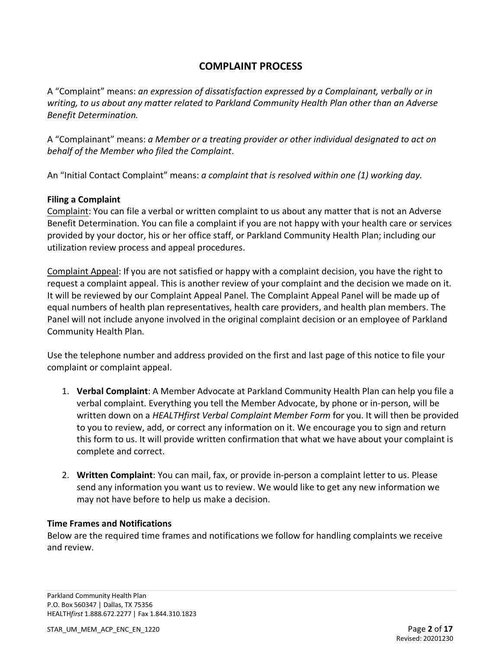# **COMPLAINT PROCESS**

A "Complaint" means: *an expression of dissatisfaction expressed by a Complainant, verbally or in writing, to us about any matter related to Parkland Community Health Plan other than an Adverse Benefit Determination.* 

A "Complainant" means: *a Member or a treating provider or other individual designated to act on behalf of the Member who filed the Complaint*.

An "Initial Contact Complaint" means: *a complaint that is resolved within one (1) working day.* 

## **Filing a Complaint**

Complaint: You can file a verbal or written complaint to us about any matter that is not an Adverse Benefit Determination. You can file a complaint if you are not happy with your health care or services provided by your doctor, his or her office staff, or Parkland Community Health Plan; including our utilization review process and appeal procedures.

Complaint Appeal: If you are not satisfied or happy with a complaint decision, you have the right to request a complaint appeal. This is another review of your complaint and the decision we made on it. It will be reviewed by our Complaint Appeal Panel. The Complaint Appeal Panel will be made up of equal numbers of health plan representatives, health care providers, and health plan members. The Panel will not include anyone involved in the original complaint decision or an employee of Parkland Community Health Plan.

Use the telephone number and address provided on the first and last page of this notice to file your complaint or complaint appeal.

- 1. **Verbal Complaint**: A Member Advocate at Parkland Community Health Plan can help you file a verbal complaint. Everything you tell the Member Advocate, by phone or in-person, will be written down on a *HEALTHfirst Verbal Complaint Member Form* for you. It will then be provided to you to review, add, or correct any information on it. We encourage you to sign and return this form to us. It will provide written confirmation that what we have about your complaint is complete and correct.
- 2. **Written Complaint**: You can mail, fax, or provide in-person a complaint letter to us. Please send any information you want us to review. We would like to get any new information we may not have before to help us make a decision.

## **Time Frames and Notifications**

Below are the required time frames and notifications we follow for handling complaints we receive and review.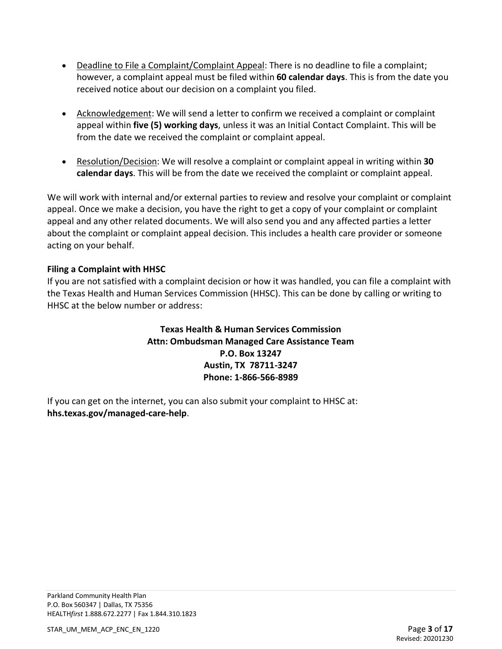- Deadline to File a Complaint/Complaint Appeal: There is no deadline to file a complaint; however, a complaint appeal must be filed within **60 calendar days**. This is from the date you received notice about our decision on a complaint you filed.
- Acknowledgement: We will send a letter to confirm we received a complaint or complaint appeal within **five (5) working days**, unless it was an Initial Contact Complaint. This will be from the date we received the complaint or complaint appeal.
- Resolution/Decision: We will resolve a complaint or complaint appeal in writing within **30 calendar days**. This will be from the date we received the complaint or complaint appeal.

We will work with internal and/or external parties to review and resolve your complaint or complaint appeal. Once we make a decision, you have the right to get a copy of your complaint or complaint appeal and any other related documents. We will also send you and any affected parties a letter about the complaint or complaint appeal decision. This includes a health care provider or someone acting on your behalf.

## **Filing a Complaint with HHSC**

If you are not satisfied with a complaint decision or how it was handled, you can file a complaint with the Texas Health and Human Services Commission (HHSC). This can be done by calling or writing to HHSC at the below number or address:

## **Texas Health & Human Services Commission Attn: Ombudsman Managed Care Assistance Team P.O. Box 13247 Austin, TX 78711-3247 Phone: 1-866-566-8989**

If you can get on the internet, you can also submit your complaint to HHSC at: **hhs.texas.gov/managed-care-help**.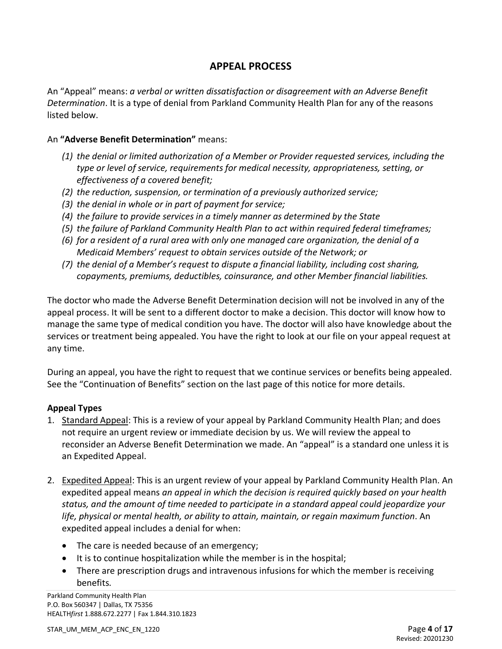## **APPEAL PROCESS**

An "Appeal" means: *a verbal or written dissatisfaction or disagreement with an Adverse Benefit Determination*. It is a type of denial from Parkland Community Health Plan for any of the reasons listed below.

#### An **"Adverse Benefit Determination"** means:

- *(1) the denial or limited authorization of a Member or Provider requested services, including the type or level of service, requirements for medical necessity, appropriateness, setting, or effectiveness of a covered benefit;*
- *(2) the reduction, suspension, or termination of a previously authorized service;*
- *(3) the denial in whole or in part of payment for service;*
- *(4) the failure to provide services in a timely manner as determined by the State*
- *(5) the failure of Parkland Community Health Plan to act within required federal timeframes;*
- *(6) for a resident of a rural area with only one managed care organization, the denial of a Medicaid Members' request to obtain services outside of the Network; or*
- *(7) the denial of a Member's request to dispute a financial liability, including cost sharing, copayments, premiums, deductibles, coinsurance, and other Member financial liabilities.*

The doctor who made the Adverse Benefit Determination decision will not be involved in any of the appeal process. It will be sent to a different doctor to make a decision. This doctor will know how to manage the same type of medical condition you have. The doctor will also have knowledge about the services or treatment being appealed. You have the right to look at our file on your appeal request at any time.

During an appeal, you have the right to request that we continue services or benefits being appealed. See the "Continuation of Benefits" section on the last page of this notice for more details.

## **Appeal Types**

- 1. Standard Appeal: This is a review of your appeal by Parkland Community Health Plan; and does not require an urgent review or immediate decision by us. We will review the appeal to reconsider an Adverse Benefit Determination we made. An "appeal" is a standard one unless it is an Expedited Appeal.
- 2. Expedited Appeal: This is an urgent review of your appeal by Parkland Community Health Plan. An expedited appeal means *an appeal in which the decision is required quickly based on your health status, and the amount of time needed to participate in a standard appeal could jeopardize your life, physical or mental health, or ability to attain, maintain, or regain maximum function*. An expedited appeal includes a denial for when:
	- The care is needed because of an emergency;
	- It is to continue hospitalization while the member is in the hospital;
	- There are prescription drugs and intravenous infusions for which the member is receiving benefits*.*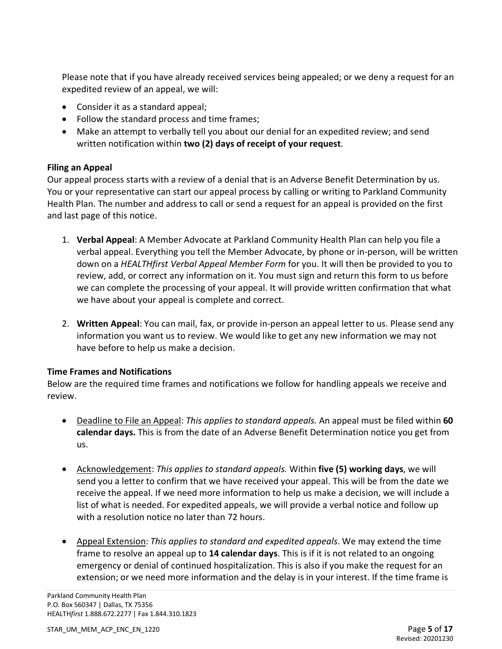Please note that if you have already received services being appealed; or we deny a request for an expedited review of an appeal, we will:

- Consider it as a standard appeal;
- Follow the standard process and time frames;
- Make an attempt to verbally tell you about our denial for an expedited review; and send written notification within **two (2) days of receipt of your request**.

## **Filing an Appeal**

Our appeal process starts with a review of a denial that is an Adverse Benefit Determination by us. You or your representative can start our appeal process by calling or writing to Parkland Community Health Plan. The number and address to call or send a request for an appeal is provided on the first and last page of this notice.

- 1. **Verbal Appeal**: A Member Advocate at Parkland Community Health Plan can help you file a verbal appeal. Everything you tell the Member Advocate, by phone or in-person, will be written down on a *HEALTHfirst Verbal Appeal Member Form* for you. It will then be provided to you to review, add, or correct any information on it. You must sign and return this form to us before we can complete the processing of your appeal. It will provide written confirmation that what we have about your appeal is complete and correct.
- 2. **Written Appeal**: You can mail, fax, or provide in-person an appeal letter to us. Please send any information you want us to review. We would like to get any new information we may not have before to help us make a decision.

## **Time Frames and Notifications**

Below are the required time frames and notifications we follow for handling appeals we receive and review.

- Deadline to File an Appeal: *This applies to standard appeals.* An appeal must be filed within **60 calendar days.** This is from the date of an Adverse Benefit Determination notice you get from us.
- Acknowledgement: *This applies to standard appeals.* Within **five (5) working days**, we will send you a letter to confirm that we have received your appeal. This will be from the date we receive the appeal. If we need more information to help us make a decision, we will include a list of what is needed. For expedited appeals, we will provide a verbal notice and follow up with a resolution notice no later than 72 hours.
- Appeal Extension: *This applies to standard and expedited appeals*. We may extend the time frame to resolve an appeal up to **14 calendar days**. This is if it is not related to an ongoing emergency or denial of continued hospitalization. This is also if you make the request for an extension; or we need more information and the delay is in your interest. If the time frame is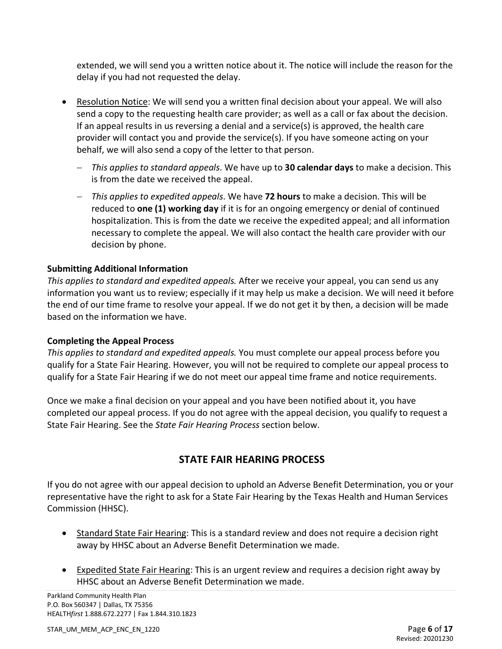extended, we will send you a written notice about it. The notice will include the reason for the delay if you had not requested the delay.

- Resolution Notice: We will send you a written final decision about your appeal. We will also send a copy to the requesting health care provider; as well as a call or fax about the decision. If an appeal results in us reversing a denial and a service(s) is approved, the health care provider will contact you and provide the service(s). If you have someone acting on your behalf, we will also send a copy of the letter to that person.
	- − *This applies to standard appeals*. We have up to **30 calendar days** to make a decision. This is from the date we received the appeal.
	- − *This applies to expedited appeals*. We have **72 hours** to make a decision. This will be reduced to **one (1) working day** if it is for an ongoing emergency or denial of continued hospitalization. This is from the date we receive the expedited appeal; and all information necessary to complete the appeal. We will also contact the health care provider with our decision by phone.

## **Submitting Additional Information**

*This applies to standard and expedited appeals.* After we receive your appeal, you can send us any information you want us to review; especially if it may help us make a decision. We will need it before the end of our time frame to resolve your appeal. If we do not get it by then, a decision will be made based on the information we have.

## **Completing the Appeal Process**

*This applies to standard and expedited appeals.* You must complete our appeal process before you qualify for a State Fair Hearing. However, you will not be required to complete our appeal process to qualify for a State Fair Hearing if we do not meet our appeal time frame and notice requirements.

Once we make a final decision on your appeal and you have been notified about it, you have completed our appeal process. If you do not agree with the appeal decision, you qualify to request a State Fair Hearing. See the *State Fair Hearing Process* section below.

# **STATE FAIR HEARING PROCESS**

If you do not agree with our appeal decision to uphold an Adverse Benefit Determination, you or your representative have the right to ask for a State Fair Hearing by the Texas Health and Human Services Commission (HHSC).

- Standard State Fair Hearing: This is a standard review and does not require a decision right away by HHSC about an Adverse Benefit Determination we made.
- Expedited State Fair Hearing: This is an urgent review and requires a decision right away by HHSC about an Adverse Benefit Determination we made.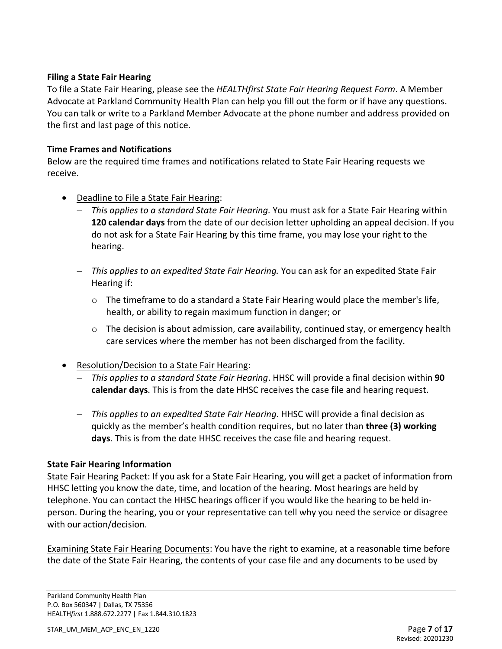#### **Filing a State Fair Hearing**

To file a State Fair Hearing, please see the *HEALTHfirst State Fair Hearing Request Form*. A Member Advocate at Parkland Community Health Plan can help you fill out the form or if have any questions. You can talk or write to a Parkland Member Advocate at the phone number and address provided on the first and last page of this notice.

#### **Time Frames and Notifications**

Below are the required time frames and notifications related to State Fair Hearing requests we receive.

- Deadline to File a State Fair Hearing:
	- − *This applies to a standard State Fair Hearing.* You must ask for a State Fair Hearing within **120 calendar days** from the date of our decision letter upholding an appeal decision. If you do not ask for a State Fair Hearing by this time frame, you may lose your right to the hearing.
	- − *This applies to an expedited State Fair Hearing.* You can ask for an expedited State Fair Hearing if:
		- $\circ$  The timeframe to do a standard a State Fair Hearing would place the member's life, health, or ability to regain maximum function in danger; or
		- o The decision is about admission, care availability, continued stay, or emergency health care services where the member has not been discharged from the facility.
- Resolution/Decision to a State Fair Hearing:
	- − *This applies to a standard State Fair Hearing*. HHSC will provide a final decision within **90 calendar days**. This is from the date HHSC receives the case file and hearing request.
	- − *This applies to an expedited State Fair Hearing*. HHSC will provide a final decision as quickly as the member's health condition requires, but no later than **three (3) working days**. This is from the date HHSC receives the case file and hearing request.

## **State Fair Hearing Information**

State Fair Hearing Packet: If you ask for a State Fair Hearing, you will get a packet of information from HHSC letting you know the date, time, and location of the hearing. Most hearings are held by telephone. You can contact the HHSC hearings officer if you would like the hearing to be held inperson. During the hearing, you or your representative can tell why you need the service or disagree with our action/decision.

Examining State Fair Hearing Documents: You have the right to examine, at a reasonable time before the date of the State Fair Hearing, the contents of your case file and any documents to be used by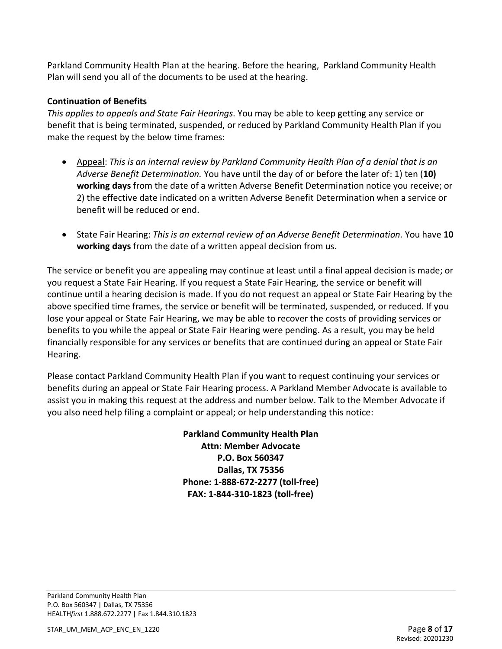Parkland Community Health Plan at the hearing. Before the hearing, Parkland Community Health Plan will send you all of the documents to be used at the hearing.

## **Continuation of Benefits**

*This applies to appeals and State Fair Hearings*. You may be able to keep getting any service or benefit that is being terminated, suspended, or reduced by Parkland Community Health Plan if you make the request by the below time frames:

- Appeal: *This is an internal review by Parkland Community Health Plan of a denial that is an Adverse Benefit Determination.* You have until the day of or before the later of: 1) ten (**10) working days** from the date of a written Adverse Benefit Determination notice you receive; or 2) the effective date indicated on a written Adverse Benefit Determination when a service or benefit will be reduced or end.
- State Fair Hearing: *This is an external review of an Adverse Benefit Determination.* You have **10 working days** from the date of a written appeal decision from us.

The service or benefit you are appealing may continue at least until a final appeal decision is made; or you request a State Fair Hearing. If you request a State Fair Hearing, the service or benefit will continue until a hearing decision is made. If you do not request an appeal or State Fair Hearing by the above specified time frames, the service or benefit will be terminated, suspended, or reduced. If you lose your appeal or State Fair Hearing, we may be able to recover the costs of providing services or benefits to you while the appeal or State Fair Hearing were pending. As a result, you may be held financially responsible for any services or benefits that are continued during an appeal or State Fair Hearing.

Please contact Parkland Community Health Plan if you want to request continuing your services or benefits during an appeal or State Fair Hearing process. A Parkland Member Advocate is available to assist you in making this request at the address and number below. Talk to the Member Advocate if you also need help filing a complaint or appeal; or help understanding this notice:

> **Parkland Community Health Plan Attn: Member Advocate P.O. Box 560347 Dallas, TX 75356 Phone: 1-888-672-2277 (toll-free) FAX: 1-844-310-1823 (toll-free)**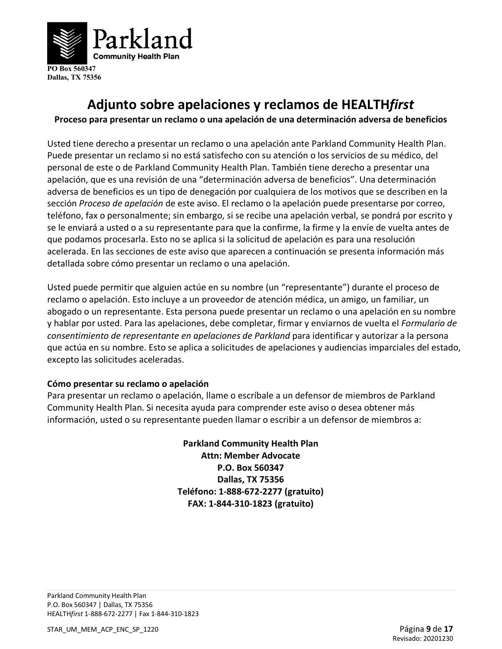

# **Adjunto sobre apelaciones y reclamos de HEALTH***first*

**Proceso para presentar un reclamo o una apelación de una determinación adversa de beneficios** 

Usted tiene derecho a presentar un reclamo o una apelación ante Parkland Community Health Plan. Puede presentar un reclamo si no está satisfecho con su atención o los servicios de su médico, del personal de este o de Parkland Community Health Plan. También tiene derecho a presentar una apelación, que es una revisión de una "determinación adversa de beneficios". Una determinación adversa de beneficios es un tipo de denegación por cualquiera de los motivos que se describen en la sección *Proceso de apelación* de este aviso. El reclamo o la apelación puede presentarse por correo, teléfono, fax o personalmente; sin embargo, si se recibe una apelación verbal, se pondrá por escrito y se le enviará a usted o a su representante para que la confirme, la firme y la envíe de vuelta antes de que podamos procesarla. Esto no se aplica si la solicitud de apelación es para una resolución acelerada. En las secciones de este aviso que aparecen a continuación se presenta información más detallada sobre cómo presentar un reclamo o una apelación.

Usted puede permitir que alguien actúe en su nombre (un "representante") durante el proceso de reclamo o apelación. Esto incluye a un proveedor de atención médica, un amigo, un familiar, un abogado o un representante. Esta persona puede presentar un reclamo o una apelación en su nombre y hablar por usted. Para las apelaciones, debe completar, firmar y enviarnos de vuelta el *Formulario de consentimiento de representante en apelaciones de Parkland* para identificar y autorizar a la persona que actúa en su nombre. Esto se aplica a solicitudes de apelaciones y audiencias imparciales del estado, excepto las solicitudes aceleradas.

#### **Cómo presentar su reclamo o apelación**

Para presentar un reclamo o apelación, llame o escríbale a un defensor de miembros de Parkland Community Health Plan. Si necesita ayuda para comprender este aviso o desea obtener más información, usted o su representante pueden llamar o escribir a un defensor de miembros a:

> **Parkland Community Health Plan Attn: Member Advocate P.O. Box 560347 Dallas, TX 75356 Teléfono: 1-888-672-2277 (gratuito) FAX: 1-844-310-1823 (gratuito)**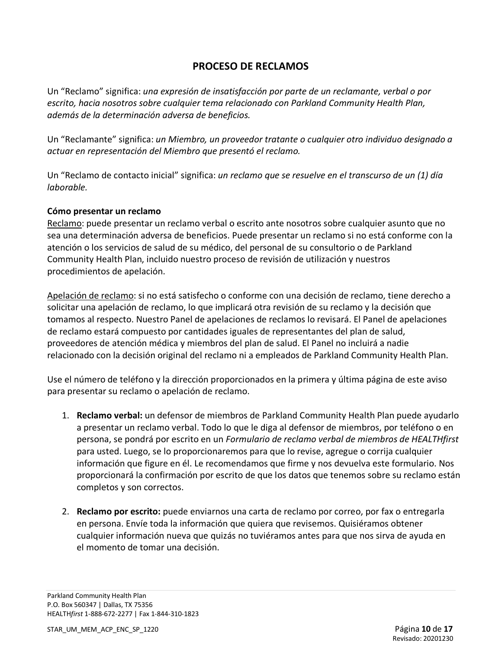# **PROCESO DE RECLAMOS**

Un "Reclamo" significa: *una expresión de insatisfacción por parte de un reclamante, verbal o por escrito, hacia nosotros sobre cualquier tema relacionado con Parkland Community Health Plan, además de la determinación adversa de beneficios.* 

Un "Reclamante" significa: *un Miembro, un proveedor tratante o cualquier otro individuo designado a actuar en representación del Miembro que presentó el reclamo.*

Un "Reclamo de contacto inicial" significa: *un reclamo que se resuelve en el transcurso de un (1) día laborable.* 

## **Cómo presentar un reclamo**

Reclamo: puede presentar un reclamo verbal o escrito ante nosotros sobre cualquier asunto que no sea una determinación adversa de beneficios. Puede presentar un reclamo si no está conforme con la atención o los servicios de salud de su médico, del personal de su consultorio o de Parkland Community Health Plan, incluido nuestro proceso de revisión de utilización y nuestros procedimientos de apelación.

Apelación de reclamo: si no está satisfecho o conforme con una decisión de reclamo, tiene derecho a solicitar una apelación de reclamo, lo que implicará otra revisión de su reclamo y la decisión que tomamos al respecto. Nuestro Panel de apelaciones de reclamos lo revisará. El Panel de apelaciones de reclamo estará compuesto por cantidades iguales de representantes del plan de salud, proveedores de atención médica y miembros del plan de salud. El Panel no incluirá a nadie relacionado con la decisión original del reclamo ni a empleados de Parkland Community Health Plan.

Use el número de teléfono y la dirección proporcionados en la primera y última página de este aviso para presentar su reclamo o apelación de reclamo.

- 1. **Reclamo verbal:** un defensor de miembros de Parkland Community Health Plan puede ayudarlo a presentar un reclamo verbal. Todo lo que le diga al defensor de miembros, por teléfono o en persona, se pondrá por escrito en un *Formulario de reclamo verbal de miembros de HEALTHfirst*  para usted. Luego, se lo proporcionaremos para que lo revise, agregue o corrija cualquier información que figure en él. Le recomendamos que firme y nos devuelva este formulario. Nos proporcionará la confirmación por escrito de que los datos que tenemos sobre su reclamo están completos y son correctos.
- 2. **Reclamo por escrito:** puede enviarnos una carta de reclamo por correo, por fax o entregarla en persona. Envíe toda la información que quiera que revisemos. Quisiéramos obtener cualquier información nueva que quizás no tuviéramos antes para que nos sirva de ayuda en el momento de tomar una decisión.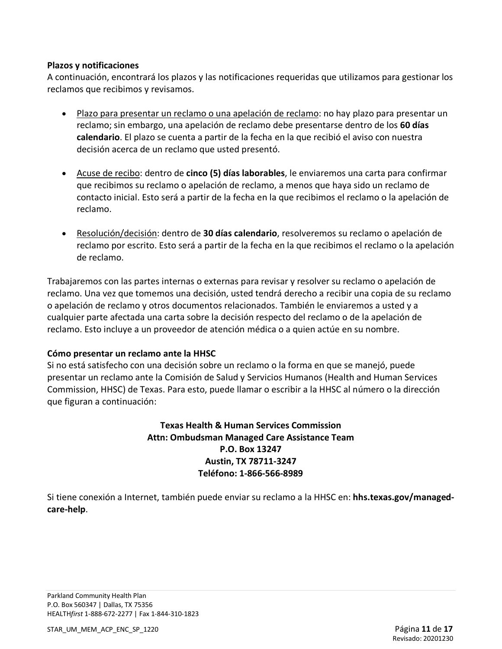#### **Plazos y notificaciones**

A continuación, encontrará los plazos y las notificaciones requeridas que utilizamos para gestionar los reclamos que recibimos y revisamos.

- Plazo para presentar un reclamo o una apelación de reclamo: no hay plazo para presentar un reclamo; sin embargo, una apelación de reclamo debe presentarse dentro de los **60 días calendario**. El plazo se cuenta a partir de la fecha en la que recibió el aviso con nuestra decisión acerca de un reclamo que usted presentó.
- Acuse de recibo: dentro de **cinco (5) días laborables**, le enviaremos una carta para confirmar que recibimos su reclamo o apelación de reclamo, a menos que haya sido un reclamo de contacto inicial. Esto será a partir de la fecha en la que recibimos el reclamo o la apelación de reclamo.
- Resolución/decisión: dentro de **30 días calendario**, resolveremos su reclamo o apelación de reclamo por escrito. Esto será a partir de la fecha en la que recibimos el reclamo o la apelación de reclamo.

Trabajaremos con las partes internas o externas para revisar y resolver su reclamo o apelación de reclamo. Una vez que tomemos una decisión, usted tendrá derecho a recibir una copia de su reclamo o apelación de reclamo y otros documentos relacionados. También le enviaremos a usted y a cualquier parte afectada una carta sobre la decisión respecto del reclamo o de la apelación de reclamo. Esto incluye a un proveedor de atención médica o a quien actúe en su nombre.

## **Cómo presentar un reclamo ante la HHSC**

Si no está satisfecho con una decisión sobre un reclamo o la forma en que se manejó, puede presentar un reclamo ante la Comisión de Salud y Servicios Humanos (Health and Human Services Commission, HHSC) de Texas. Para esto, puede llamar o escribir a la HHSC al número o la dirección que figuran a continuación:

## **Texas Health & Human Services Commission Attn: Ombudsman Managed Care Assistance Team P.O. Box 13247 Austin, TX 78711-3247 Teléfono: 1-866-566-8989**

Si tiene conexión a Internet, también puede enviar su reclamo a la HHSC en: **hhs.texas.gov/managedcare-help**.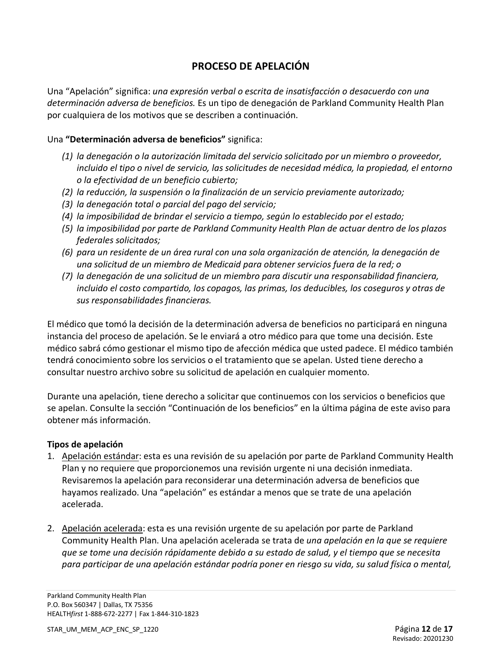# **PROCESO DE APELACIÓN**

Una "Apelación" significa: *una expresión verbal o escrita de insatisfacción o desacuerdo con una determinación adversa de beneficios.* Es un tipo de denegación de Parkland Community Health Plan por cualquiera de los motivos que se describen a continuación.

## Una **"Determinación adversa de beneficios"** significa:

- *(1) la denegación o la autorización limitada del servicio solicitado por un miembro o proveedor, incluido el tipo o nivel de servicio, las solicitudes de necesidad médica, la propiedad, el entorno o la efectividad de un beneficio cubierto;*
- *(2) la reducción, la suspensión o la finalización de un servicio previamente autorizado;*
- *(3) la denegación total o parcial del pago del servicio;*
- *(4) la imposibilidad de brindar el servicio a tiempo, según lo establecido por el estado;*
- *(5) la imposibilidad por parte de Parkland Community Health Plan de actuar dentro de los plazos federales solicitados;*
- *(6) para un residente de un área rural con una sola organización de atención, la denegación de una solicitud de un miembro de Medicaid para obtener servicios fuera de la red; o*
- *(7) la denegación de una solicitud de un miembro para discutir una responsabilidad financiera, incluido el costo compartido, los copagos, las primas, los deducibles, los coseguros y otras de sus responsabilidades financieras.*

El médico que tomó la decisión de la determinación adversa de beneficios no participará en ninguna instancia del proceso de apelación. Se le enviará a otro médico para que tome una decisión. Este médico sabrá cómo gestionar el mismo tipo de afección médica que usted padece. El médico también tendrá conocimiento sobre los servicios o el tratamiento que se apelan. Usted tiene derecho a consultar nuestro archivo sobre su solicitud de apelación en cualquier momento.

Durante una apelación, tiene derecho a solicitar que continuemos con los servicios o beneficios que se apelan. Consulte la sección "Continuación de los beneficios" en la última página de este aviso para obtener más información.

## **Tipos de apelación**

- 1. Apelación estándar: esta es una revisión de su apelación por parte de Parkland Community Health Plan y no requiere que proporcionemos una revisión urgente ni una decisión inmediata. Revisaremos la apelación para reconsiderar una determinación adversa de beneficios que hayamos realizado. Una "apelación" es estándar a menos que se trate de una apelación acelerada.
- 2. Apelación acelerada: esta es una revisión urgente de su apelación por parte de Parkland Community Health Plan. Una apelación acelerada se trata de *una apelación en la que se requiere que se tome una decisión rápidamente debido a su estado de salud, y el tiempo que se necesita para participar de una apelación estándar podría poner en riesgo su vida, su salud física o mental,*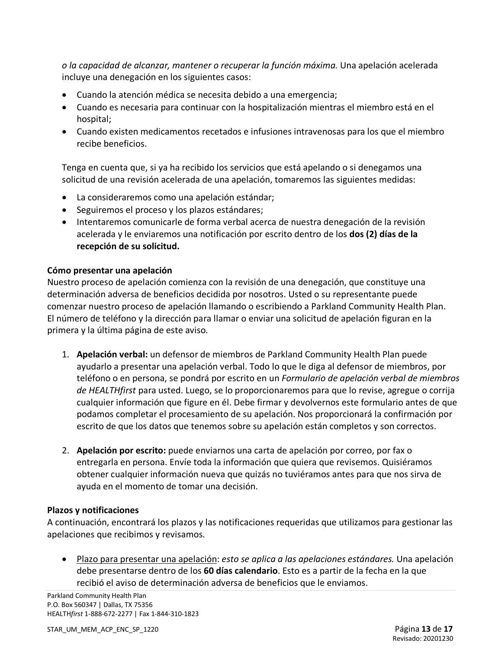*o la capacidad de alcanzar, mantener o recuperar la función máxima.* Una apelación acelerada incluye una denegación en los siguientes casos:

- Cuando la atención médica se necesita debido a una emergencia;
- Cuando es necesaria para continuar con la hospitalización mientras el miembro está en el hospital;
- Cuando existen medicamentos recetados e infusiones intravenosas para los que el miembro recibe beneficios.

Tenga en cuenta que, si ya ha recibido los servicios que está apelando o si denegamos una solicitud de una revisión acelerada de una apelación, tomaremos las siguientes medidas:

- La consideraremos como una apelación estándar;
- Seguiremos el proceso y los plazos estándares;
- Intentaremos comunicarle de forma verbal acerca de nuestra denegación de la revisión acelerada y le enviaremos una notificación por escrito dentro de los **dos (2) días de la recepción de su solicitud.**

#### **Cómo presentar una apelación**

Nuestro proceso de apelación comienza con la revisión de una denegación, que constituye una determinación adversa de beneficios decidida por nosotros. Usted o su representante puede comenzar nuestro proceso de apelación llamando o escribiendo a Parkland Community Health Plan. El número de teléfono y la dirección para llamar o enviar una solicitud de apelación figuran en la primera y la última página de este aviso.

- 1. **Apelación verbal:** un defensor de miembros de Parkland Community Health Plan puede ayudarlo a presentar una apelación verbal. Todo lo que le diga al defensor de miembros, por teléfono o en persona, se pondrá por escrito en un *Formulario de apelación verbal de miembros de HEALTHfirst* para usted. Luego, se lo proporcionaremos para que lo revise, agregue o corrija cualquier información que figure en él. Debe firmar y devolvernos este formulario antes de que podamos completar el procesamiento de su apelación. Nos proporcionará la confirmación por escrito de que los datos que tenemos sobre su apelación están completos y son correctos.
- 2. **Apelación por escrito:** puede enviarnos una carta de apelación por correo, por fax o entregarla en persona. Envíe toda la información que quiera que revisemos. Quisiéramos obtener cualquier información nueva que quizás no tuviéramos antes para que nos sirva de ayuda en el momento de tomar una decisión.

## **Plazos y notificaciones**

A continuación, encontrará los plazos y las notificaciones requeridas que utilizamos para gestionar las apelaciones que recibimos y revisamos.

• Plazo para presentar una apelación: *esto se aplica a las apelaciones estándares.* Una apelación debe presentarse dentro de los **60 días calendario**. Esto es a partir de la fecha en la que recibió el aviso de determinación adversa de beneficios que le enviamos.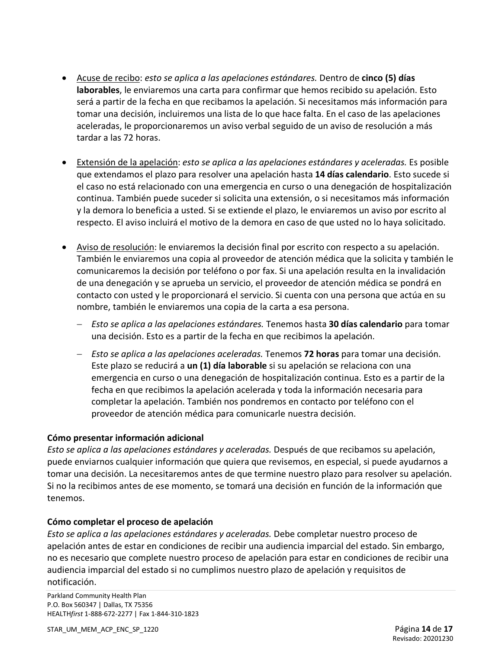- Acuse de recibo: *esto se aplica a las apelaciones estándares.* Dentro de **cinco (5) días laborables**, le enviaremos una carta para confirmar que hemos recibido su apelación. Esto será a partir de la fecha en que recibamos la apelación. Si necesitamos más información para tomar una decisión, incluiremos una lista de lo que hace falta. En el caso de las apelaciones aceleradas, le proporcionaremos un aviso verbal seguido de un aviso de resolución a más tardar a las 72 horas.
- Extensión de la apelación: *esto se aplica a las apelaciones estándares y aceleradas.* Es posible que extendamos el plazo para resolver una apelación hasta **14 días calendario**. Esto sucede si el caso no está relacionado con una emergencia en curso o una denegación de hospitalización continua. También puede suceder si solicita una extensión, o si necesitamos más información y la demora lo beneficia a usted. Si se extiende el plazo, le enviaremos un aviso por escrito al respecto. El aviso incluirá el motivo de la demora en caso de que usted no lo haya solicitado.
- Aviso de resolución: le enviaremos la decisión final por escrito con respecto a su apelación. También le enviaremos una copia al proveedor de atención médica que la solicita y también le comunicaremos la decisión por teléfono o por fax. Si una apelación resulta en la invalidación de una denegación y se aprueba un servicio, el proveedor de atención médica se pondrá en contacto con usted y le proporcionará el servicio. Si cuenta con una persona que actúa en su nombre, también le enviaremos una copia de la carta a esa persona.
	- − *Esto se aplica a las apelaciones estándares.* Tenemos hasta **30 días calendario** para tomar una decisión. Esto es a partir de la fecha en que recibimos la apelación.
	- − *Esto se aplica a las apelaciones aceleradas.* Tenemos **72 horas** para tomar una decisión. Este plazo se reducirá a **un (1) día laborable** si su apelación se relaciona con una emergencia en curso o una denegación de hospitalización continua. Esto es a partir de la fecha en que recibimos la apelación acelerada y toda la información necesaria para completar la apelación. También nos pondremos en contacto por teléfono con el proveedor de atención médica para comunicarle nuestra decisión.

## **Cómo presentar información adicional**

*Esto se aplica a las apelaciones estándares y aceleradas.* Después de que recibamos su apelación, puede enviarnos cualquier información que quiera que revisemos, en especial, si puede ayudarnos a tomar una decisión. La necesitaremos antes de que termine nuestro plazo para resolver su apelación. Si no la recibimos antes de ese momento, se tomará una decisión en función de la información que tenemos.

## **Cómo completar el proceso de apelación**

*Esto se aplica a las apelaciones estándares y aceleradas.* Debe completar nuestro proceso de apelación antes de estar en condiciones de recibir una audiencia imparcial del estado. Sin embargo, no es necesario que complete nuestro proceso de apelación para estar en condiciones de recibir una audiencia imparcial del estado si no cumplimos nuestro plazo de apelación y requisitos de notificación.

Parkland Community Health Plan P.O. Box 560347 | Dallas, TX 75356 HEALTH*first* 1-888-672-2277 | Fax 1-844-310-1823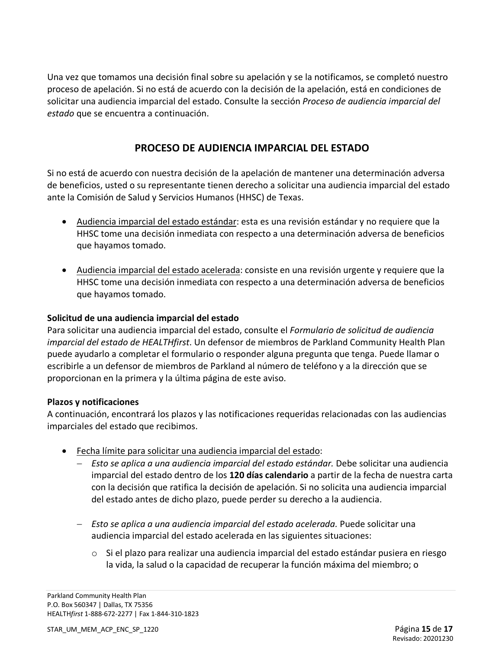Una vez que tomamos una decisión final sobre su apelación y se la notificamos, se completó nuestro proceso de apelación. Si no está de acuerdo con la decisión de la apelación, está en condiciones de solicitar una audiencia imparcial del estado. Consulte la sección *Proceso de audiencia imparcial del estado* que se encuentra a continuación.

# **PROCESO DE AUDIENCIA IMPARCIAL DEL ESTADO**

Si no está de acuerdo con nuestra decisión de la apelación de mantener una determinación adversa de beneficios, usted o su representante tienen derecho a solicitar una audiencia imparcial del estado ante la Comisión de Salud y Servicios Humanos (HHSC) de Texas.

- Audiencia imparcial del estado estándar: esta es una revisión estándar y no requiere que la HHSC tome una decisión inmediata con respecto a una determinación adversa de beneficios que hayamos tomado.
- Audiencia imparcial del estado acelerada: consiste en una revisión urgente y requiere que la HHSC tome una decisión inmediata con respecto a una determinación adversa de beneficios que hayamos tomado.

## **Solicitud de una audiencia imparcial del estado**

Para solicitar una audiencia imparcial del estado, consulte el *Formulario de solicitud de audiencia imparcial del estado de HEALTHfirst*. Un defensor de miembros de Parkland Community Health Plan puede ayudarlo a completar el formulario o responder alguna pregunta que tenga. Puede llamar o escribirle a un defensor de miembros de Parkland al número de teléfono y a la dirección que se proporcionan en la primera y la última página de este aviso.

## **Plazos y notificaciones**

A continuación, encontrará los plazos y las notificaciones requeridas relacionadas con las audiencias imparciales del estado que recibimos.

- Fecha límite para solicitar una audiencia imparcial del estado:
	- − *Esto se aplica a una audiencia imparcial del estado estándar.* Debe solicitar una audiencia imparcial del estado dentro de los **120 días calendario** a partir de la fecha de nuestra carta con la decisión que ratifica la decisión de apelación. Si no solicita una audiencia imparcial del estado antes de dicho plazo, puede perder su derecho a la audiencia.
	- − *Esto se aplica a una audiencia imparcial del estado acelerada.* Puede solicitar una audiencia imparcial del estado acelerada en las siguientes situaciones:
		- $\circ$  Si el plazo para realizar una audiencia imparcial del estado estándar pusiera en riesgo la vida, la salud o la capacidad de recuperar la función máxima del miembro; o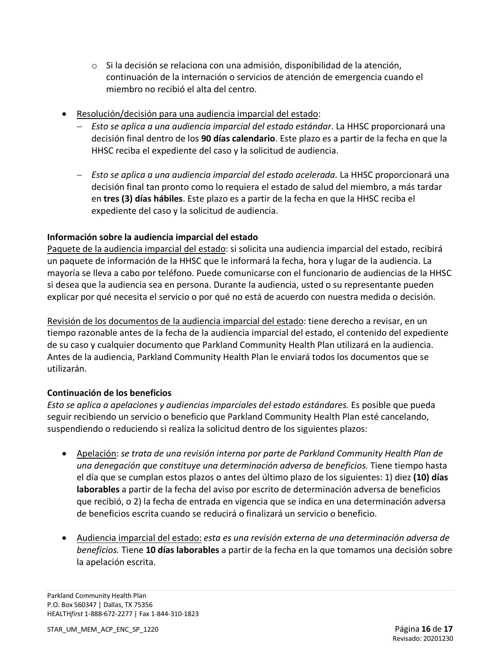- o Si la decisión se relaciona con una admisión, disponibilidad de la atención, continuación de la internación o servicios de atención de emergencia cuando el miembro no recibió el alta del centro.
- Resolución/decisión para una audiencia imparcial del estado:
	- − *Esto se aplica a una audiencia imparcial del estado estándar*. La HHSC proporcionará una decisión final dentro de los **90 días calendario**. Este plazo es a partir de la fecha en que la HHSC reciba el expediente del caso y la solicitud de audiencia.
	- − *Esto se aplica a una audiencia imparcial del estado acelerada.* La HHSC proporcionará una decisión final tan pronto como lo requiera el estado de salud del miembro, a más tardar en **tres (3) días hábiles**. Este plazo es a partir de la fecha en que la HHSC reciba el expediente del caso y la solicitud de audiencia.

## **Información sobre la audiencia imparcial del estado**

Paquete de la audiencia imparcial del estado: si solicita una audiencia imparcial del estado, recibirá un paquete de información de la HHSC que le informará la fecha, hora y lugar de la audiencia. La mayoría se lleva a cabo por teléfono. Puede comunicarse con el funcionario de audiencias de la HHSC si desea que la audiencia sea en persona. Durante la audiencia, usted o su representante pueden explicar por qué necesita el servicio o por qué no está de acuerdo con nuestra medida o decisión.

Revisión de los documentos de la audiencia imparcial del estado: tiene derecho a revisar, en un tiempo razonable antes de la fecha de la audiencia imparcial del estado, el contenido del expediente de su caso y cualquier documento que Parkland Community Health Plan utilizará en la audiencia. Antes de la audiencia, Parkland Community Health Plan le enviará todos los documentos que se utilizarán.

## **Continuación de los beneficios**

*Esto se aplica a apelaciones y audiencias imparciales del estado estándares.* Es posible que pueda seguir recibiendo un servicio o beneficio que Parkland Community Health Plan esté cancelando, suspendiendo o reduciendo si realiza la solicitud dentro de los siguientes plazos:

- Apelación: *se trata de una revisión interna por parte de Parkland Community Health Plan de una denegación que constituye una determinación adversa de beneficios.* Tiene tiempo hasta el día que se cumplan estos plazos o antes del último plazo de los siguientes: 1) diez **(10) días laborables** a partir de la fecha del aviso por escrito de determinación adversa de beneficios que recibió, o 2) la fecha de entrada en vigencia que se indica en una determinación adversa de beneficios escrita cuando se reducirá o finalizará un servicio o beneficio.
- Audiencia imparcial del estado: *esta es una revisión externa de una determinación adversa de beneficios.* Tiene **10 días laborables** a partir de la fecha en la que tomamos una decisión sobre la apelación escrita.